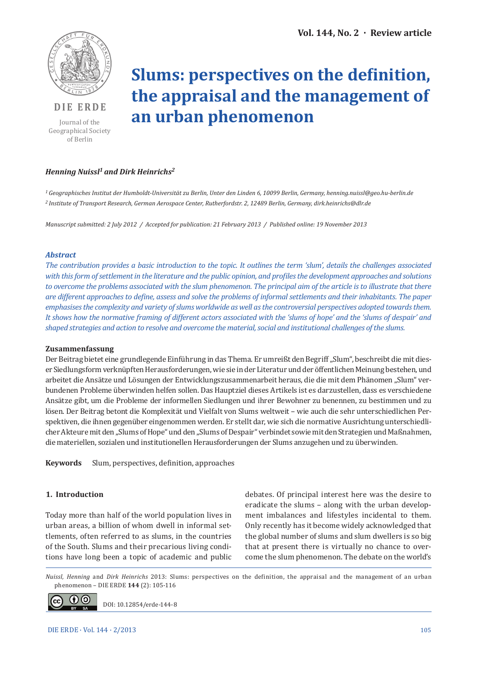

**DIE ERDE**

Journal of the Geographical Society of Berlin

# **Slums: perspectives on the definition, the appraisal and the management of an urban phenomenon**

# *Henning Nuissl1 and Dirk Heinrichs2*

*1 Geographisches Institut der Humboldt-Universität zu Berlin, Unter den Linden 6, 10099 Berlin, Germany, henning.nuissl@geo.hu-berlin.de 2 Institute of Transport Research, German Aerospace Center, Rutherfordstr. 2, 12489 Berlin, Germany, dirk.heinrichs@dlr.de*

*Manuscript submitted: 2 July 2012 / Accepted for publication: 21 February 2013 / Published online: 19 November 2013*

#### *Abstract*

*The contribution provides a basic introduction to the topic. It outlines the term 'slum', details the challenges associated with this form of settlement in the literature and the public opinion, and profiles the development approaches and solutions to overcome the problems associated with the slum phenomenon. The principal aim of the article is to illustrate that there are different approaches to define, assess and solve the problems of informal settlements and their inhabitants. The paper emphasises the complexity and variety of slums worldwide as well as the controversial perspectives adopted towards them. It shows how the normative framing of different actors associated with the 'slums of hope' and the 'slums of despair' and shaped strategies and action to resolve and overcome the material, social and institutional challenges of the slums.*

#### **Zusammenfassung**

Der Beitrag bietet eine grundlegende Einführung in das Thema. Er umreißt den Begriff "Slum", beschreibt die mit dieser Siedlungsform verknüpften Herausforderungen, wie sie in der Literatur und der öffentlichen Meinung bestehen, und arbeitet die Ansätze und Lösungen der Entwicklungszusammenarbeit heraus, die die mit dem Phänomen "Slum" verbundenen Probleme überwinden helfen sollen. Das Hauptziel dieses Artikels ist es darzustellen, dass es verschiedene Ansätze gibt, um die Probleme der informellen Siedlungen und ihrer Bewohner zu benennen, zu bestimmen und zu lösen. Der Beitrag betont die Komplexität und Vielfalt von Slums weltweit – wie auch die sehr unterschiedlichen Perspektiven, die ihnen gegenüber eingenommen werden. Er stellt dar, wie sich die normative Ausrichtung unterschiedlicher Akteure mit den "Slums of Hope" und den "Slums of Despair" verbindet sowie mit den Strategien und Maßnahmen, die materiellen, sozialen und institutionellen Herausforderungen der Slums anzugehen und zu überwinden.

**Keywords** Slum, perspectives, definition, approaches

#### **1. Introduction**

Today more than half of the world population lives in urban areas, a billion of whom dwell in informal settlements, often referred to as slums, in the countries of the South. Slums and their precarious living conditions have long been a topic of academic and public debates. Of principal interest here was the desire to eradicate the slums – along with the urban development imbalances and lifestyles incidental to them. Only recently has it become widely acknowledged that the global number of slums and slum dwellers is so big that at present there is virtually no chance to overcome the slum phenomenon. The debate on the world's

*Nuissl, Henning* and *Dirk Heinrichs* 2013: Slums: perspectives on the definition, the appraisal and the management of an urban phenomenon – DIE ERDE **144** (2): 105-116



DOI: 10.12854/erde-144-8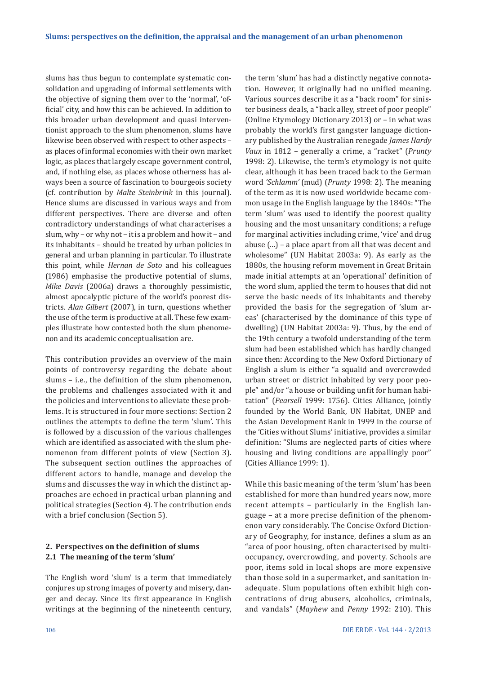slums has thus begun to contemplate systematic consolidation and upgrading of informal settlements with the objective of signing them over to the 'normal', 'official' city, and how this can be achieved. In addition to this broader urban development and quasi interventionist approach to the slum phenomenon, slums have likewise been observed with respect to other aspects – as places of informal economies with their own market logic, as places that largely escape government control, and, if nothing else, as places whose otherness has always been a source of fascination to bourgeois society (cf. contribution by *Malte Steinbrink* in this journal). Hence slums are discussed in various ways and from different perspectives. There are diverse and often contradictory understandings of what characterises a slum, why – or why not – it is a problem and how it – and its inhabitants – should be treated by urban policies in general and urban planning in particular. To illustrate this point, while *Hernan de Soto* and his colleagues (1986) emphasise the productive potential of slums, *Mike Davis* (2006a) draws a thoroughly pessimistic, almost apocalyptic picture of the world's poorest districts. *Alan Gilbert* (2007), in turn, questions whether the use of the term is productive at all. These few examples illustrate how contested both the slum phenomenon and its academic conceptualisation are.

This contribution provides an overview of the main points of controversy regarding the debate about slums – i.e., the definition of the slum phenomenon, the problems and challenges associated with it and the policies and interventions to alleviate these problems. It is structured in four more sections: Section 2 outlines the attempts to define the term 'slum'. This is followed by a discussion of the various challenges which are identified as associated with the slum phenomenon from different points of view (Section 3). The subsequent section outlines the approaches of different actors to handle, manage and develop the slums and discusses the way in which the distinct approaches are echoed in practical urban planning and political strategies (Section 4). The contribution ends with a brief conclusion (Section 5).

# **2. Perspectives on the definition of slums 2.1 The meaning of the term 'slum'**

The English word 'slum' is a term that immediately conjures up strong images of poverty and misery, danger and decay. Since its first appearance in English writings at the beginning of the nineteenth century, the term 'slum' has had a distinctly negative connotation. However, it originally had no unified meaning. Various sources describe it as a "back room" for sinister business deals, a "back alley, street of poor people" (Online Etymology Dictionary 2013) or – in what was probably the world's first gangster language dictionary published by the Australian renegade *James Hardy Vaux* in 1812 – generally a crime, a "racket" (*Prunty* 1998: 2). Likewise, the term's etymology is not quite clear, although it has been traced back to the German word *'Schlamm'* (mud) (*Prunty* 1998: 2). The meaning of the term as it is now used worldwide became common usage in the English language by the 1840s: "The term 'slum' was used to identify the poorest quality housing and the most unsanitary conditions; a refuge for marginal activities including crime, 'vice' and drug abuse (…) – a place apart from all that was decent and wholesome" (UN Habitat 2003a: 9). As early as the 1880s, the housing reform movement in Great Britain made initial attempts at an 'operational' definition of the word slum, applied the term to houses that did not serve the basic needs of its inhabitants and thereby provided the basis for the segregation of 'slum areas' (characterised by the dominance of this type of dwelling) (UN Habitat 2003a: 9). Thus, by the end of the 19th century a twofold understanding of the term slum had been established which has hardly changed since then: According to the New Oxford Dictionary of English a slum is either "a squalid and overcrowded urban street or district inhabited by very poor people" and/or "a house or building unfit for human habitation" (*Pearsell* 1999: 1756). Cities Alliance, jointly founded by the World Bank, UN Habitat, UNEP and the Asian Development Bank in 1999 in the course of the 'Cities without Slums' initiative, provides a similar definition: "Slums are neglected parts of cities where housing and living conditions are appallingly poor" (Cities Alliance 1999: 1).

While this basic meaning of the term 'slum' has been established for more than hundred years now, more recent attempts – particularly in the English language – at a more precise definition of the phenomenon vary considerably. The Concise Oxford Dictionary of Geography, for instance, defines a slum as an "area of poor housing, often characterised by multioccupancy, overcrowding, and poverty. Schools are poor, items sold in local shops are more expensive than those sold in a supermarket, and sanitation inadequate. Slum populations often exhibit high concentrations of drug abusers, alcoholics, criminals, and vandals" (*Mayhew* and *Penny* 1992: 210). This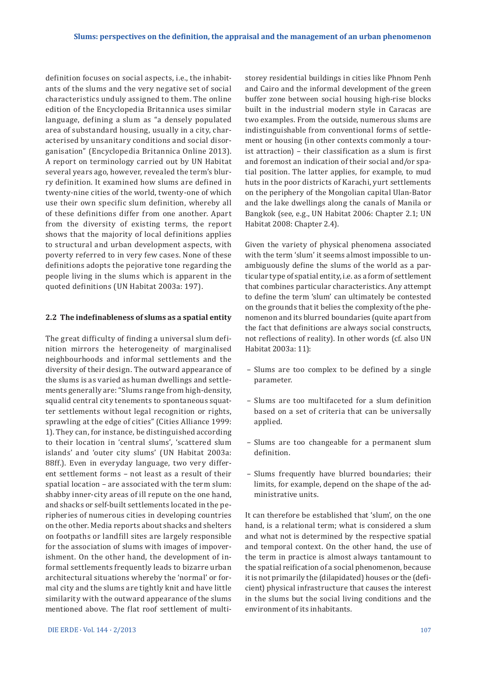definition focuses on social aspects, i.e., the inhabitants of the slums and the very negative set of social characteristics unduly assigned to them. The online edition of the Encyclopedia Britannica uses similar language, defining a slum as "a densely populated area of substandard housing, usually in a city, characterised by unsanitary conditions and social disorganisation" (Encyclopedia Britannica Online 2013). A report on terminology carried out by UN Habitat several years ago, however, revealed the term's blurry definition. It examined how slums are defined in twenty-nine cities of the world, twenty-one of which use their own specific slum definition, whereby all of these definitions differ from one another. Apart from the diversity of existing terms, the report shows that the majority of local definitions applies to structural and urban development aspects, with poverty referred to in very few cases. None of these definitions adopts the pejorative tone regarding the people living in the slums which is apparent in the quoted definitions (UN Habitat 2003a: 197).

#### **2.2 The indefinableness of slums as a spatial entity**

The great difficulty of finding a universal slum definition mirrors the heterogeneity of marginalised neighbourhoods and informal settlements and the diversity of their design. The outward appearance of the slums is as varied as human dwellings and settlements generally are: "Slums range from high-density, squalid central city tenements to spontaneous squatter settlements without legal recognition or rights, sprawling at the edge of cities" (Cities Alliance 1999: 1). They can, for instance, be distinguished according to their location in 'central slums', 'scattered slum islands' and 'outer city slums' (UN Habitat 2003a: 88ff.). Even in everyday language, two very different settlement forms – not least as a result of their spatial location – are associated with the term slum: shabby inner-city areas of ill repute on the one hand, and shacks or self-built settlements located in the peripheries of numerous cities in developing countries on the other. Media reports about shacks and shelters on footpaths or landfill sites are largely responsible for the association of slums with images of impoverishment. On the other hand, the development of informal settlements frequently leads to bizarre urban architectural situations whereby the 'normal' or formal city and the slums are tightly knit and have little similarity with the outward appearance of the slums mentioned above. The flat roof settlement of multistorey residential buildings in cities like Phnom Penh and Cairo and the informal development of the green buffer zone between social housing high-rise blocks built in the industrial modern style in Caracas are two examples. From the outside, numerous slums are indistinguishable from conventional forms of settlement or housing (in other contexts commonly a tourist attraction) – their classification as a slum is first and foremost an indication of their social and/or spatial position. The latter applies, for example, to mud huts in the poor districts of Karachi, yurt settlements on the periphery of the Mongolian capital Ulan-Bator and the lake dwellings along the canals of Manila or Bangkok (see, e.g., UN Habitat 2006: Chapter 2.1; UN Habitat 2008: Chapter 2.4).

Given the variety of physical phenomena associated with the term 'slum' it seems almost impossible to unambiguously define the slums of the world as a particular type of spatial entity, i.e. as a form of settlement that combines particular characteristics. Any attempt to define the term 'slum' can ultimately be contested on the grounds that it belies the complexity of the phenomenon and its blurred boundaries (quite apart from the fact that definitions are always social constructs, not reflections of reality). In other words (cf. also UN Habitat 2003a: 11):

- Slums are too complex to be defined by a single parameter.
- Slums are too multifaceted for a slum definition based on a set of criteria that can be universally applied.
- Slums are too changeable for a permanent slum definition.
- Slums frequently have blurred boundaries; their limits, for example, depend on the shape of the administrative units.

It can therefore be established that 'slum', on the one hand, is a relational term; what is considered a slum and what not is determined by the respective spatial and temporal context. On the other hand, the use of the term in practice is almost always tantamount to the spatial reification of a social phenomenon, because it is not primarily the (dilapidated) houses or the (deficient) physical infrastructure that causes the interest in the slums but the social living conditions and the environment of its inhabitants.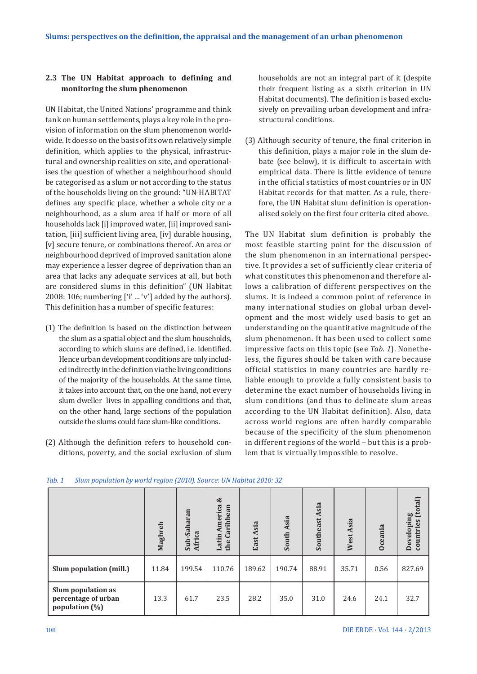# **2.3 The UN Habitat approach to defining and monitoring the slum phenomenon**

UN Habitat, the United Nations' programme and think tank on human settlements, plays a key role in the provision of information on the slum phenomenon worldwide. It does so on the basis of its own relatively simple definition, which applies to the physical, infrastructural and ownership realities on site, and operationalises the question of whether a neighbourhood should be categorised as a slum or not according to the status of the households living on the ground: "UN-HABITAT defines any specific place, whether a whole city or a neighbourhood, as a slum area if half or more of all households lack [i] improved water, [ii] improved sanitation, [iii] sufficient living area, [iv] durable housing, [v] secure tenure, or combinations thereof. An area or neighbourhood deprived of improved sanitation alone may experience a lesser degree of deprivation than an area that lacks any adequate services at all, but both are considered slums in this definition" (UN Habitat 2008: 106; numbering  $['i' ... 'v']$  added by the authors). This definition has a number of specific features:

- (1) The definition is based on the distinction between the slum as a spatial object and the slum households, according to which slums are defined, i.e. identified. Hence urban development conditions are only included indirectly in the definition via the living conditions of the majority of the households. At the same time, it takes into account that, on the one hand, not every slum dweller lives in appalling conditions and that, on the other hand, large sections of the population outside the slums could face slum-like conditions.
- (2) Although the definition refers to household conditions, poverty, and the social exclusion of slum

households are not an integral part of it (despite their frequent listing as a sixth criterion in UN Habitat documents). The definition is based exclusively on prevailing urban development and infrastructural conditions.

(3) Although security of tenure, the final criterion in this definition, plays a major role in the slum debate (see below), it is difficult to ascertain with empirical data. There is little evidence of tenure in the official statistics of most countries or in UN Habitat records for that matter. As a rule, therefore, the UN Habitat slum definition is operationalised solely on the first four criteria cited above.

The UN Habitat slum definition is probably the most feasible starting point for the discussion of the slum phenomenon in an international perspective. It provides a set of sufficiently clear criteria of what constitutes this phenomenon and therefore allows a calibration of different perspectives on the slums. It is indeed a common point of reference in many international studies on global urban development and the most widely used basis to get an understanding on the quantitative magnitude of the slum phenomenon. It has been used to collect some impressive facts on this topic (see *Tab. 1*). Nonetheless, the figures should be taken with care because official statistics in many countries are hardly reliable enough to provide a fully consistent basis to determine the exact number of households living in slum conditions (and thus to delineate slum areas according to the UN Habitat definition). Also, data across world regions are often hardly comparable because of the specificity of the slum phenomenon in different regions of the world – but this is a problem that is virtually impossible to resolve.

|                                                             | Maghreb | Sub-Saharan<br>Africa | ಳ<br>America<br>Caribbean<br>Latin<br>the | East Asia | Asia<br>South. | Asia<br>Southeast | Asia<br>West. | <b>Oceania</b> | (total)<br>Developing<br>countries |
|-------------------------------------------------------------|---------|-----------------------|-------------------------------------------|-----------|----------------|-------------------|---------------|----------------|------------------------------------|
| Slum population (mill.)                                     | 11.84   | 199.54                | 110.76                                    | 189.62    | 190.74         | 88.91             | 35.71         | 0.56           | 827.69                             |
| Slum population as<br>percentage of urban<br>population (%) | 13.3    | 61.7                  | 23.5                                      | 28.2      | 35.0           | 31.0              | 24.6          | 24.1           | 32.7                               |

#### *Tab. 1 Slum population by world region (2010). Source: UN Habitat 2010: 32*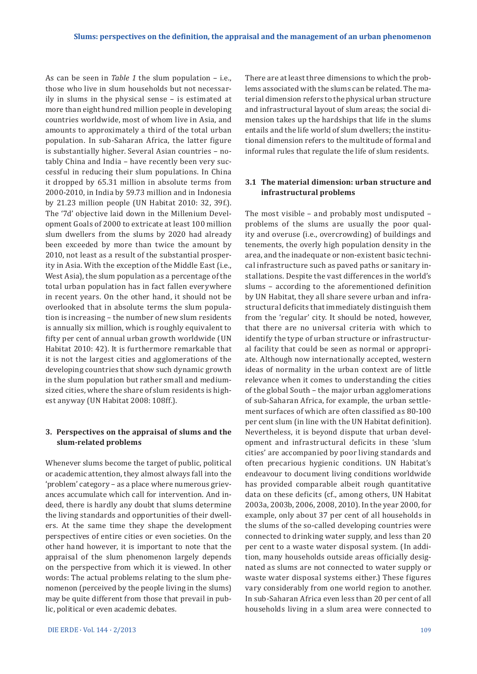As can be seen in *Table 1* the slum population – i.e., those who live in slum households but not necessarily in slums in the physical sense – is estimated at more than eight hundred million people in developing countries worldwide, most of whom live in Asia, and amounts to approximately a third of the total urban population. In sub-Saharan Africa, the latter figure is substantially higher. Several Asian countries – notably China and India – have recently been very successful in reducing their slum populations. In China it dropped by 65.31 million in absolute terms from 2000-2010, in India by 59.73 million and in Indonesia by 21.23 million people (UN Habitat 2010: 32, 39f.). The '7d' objective laid down in the Millenium Development Goals of 2000 to extricate at least 100 million slum dwellers from the slums by 2020 had already been exceeded by more than twice the amount by 2010, not least as a result of the substantial prosperity in Asia. With the exception of the Middle East (i.e., West Asia), the slum population as a percentage of the total urban population has in fact fallen everywhere in recent years. On the other hand, it should not be overlooked that in absolute terms the slum population is increasing – the number of new slum residents is annually six million, which is roughly equivalent to fifty per cent of annual urban growth worldwide (UN Habitat 2010: 42). It is furthermore remarkable that it is not the largest cities and agglomerations of the developing countries that show such dynamic growth in the slum population but rather small and mediumsized cities, where the share of slum residents is highest anyway (UN Habitat 2008: 108ff.).

## **3. Perspectives on the appraisal of slums and the slum-related problems**

Whenever slums become the target of public, political or academic attention, they almost always fall into the 'problem' category – as a place where numerous grievances accumulate which call for intervention. And indeed, there is hardly any doubt that slums determine the living standards and opportunities of their dwellers. At the same time they shape the development perspectives of entire cities or even societies. On the other hand however, it is important to note that the appraisal of the slum phenomenon largely depends on the perspective from which it is viewed. In other words: The actual problems relating to the slum phenomenon (perceived by the people living in the slums) may be quite different from those that prevail in public, political or even academic debates.

There are at least three dimensions to which the problems associated with the slums can be related. The material dimension refers to the physical urban structure and infrastructural layout of slum areas; the social dimension takes up the hardships that life in the slums entails and the life world of slum dwellers; the institutional dimension refers to the multitude of formal and informal rules that regulate the life of slum residents.

## **3.1 The material dimension: urban structure and infrastructural problems**

The most visible – and probably most undisputed – problems of the slums are usually the poor quality and overuse (i.e., overcrowding) of buildings and tenements, the overly high population density in the area, and the inadequate or non-existent basic technical infrastructure such as paved paths or sanitary installations. Despite the vast differences in the world's slums – according to the aforementioned definition by UN Habitat, they all share severe urban and infrastructural deficits that immediately distinguish them from the 'regular' city. It should be noted, however, that there are no universal criteria with which to identify the type of urban structure or infrastructural facility that could be seen as normal or appropriate. Although now internationally accepted, western ideas of normality in the urban context are of little relevance when it comes to understanding the cities of the global South – the major urban agglomerations of sub-Saharan Africa, for example, the urban settlement surfaces of which are often classified as 80-100 per cent slum (in line with the UN Habitat definition). Nevertheless, it is beyond dispute that urban development and infrastructural deficits in these 'slum cities' are accompanied by poor living standards and often precarious hygienic conditions. UN Habitat's endeavour to document living conditions worldwide has provided comparable albeit rough quantitative data on these deficits (cf., among others, UN Habitat 2003a, 2003b, 2006, 2008, 2010). In the year 2000, for example, only about 37 per cent of all households in the slums of the so-called developing countries were connected to drinking water supply, and less than 20 per cent to a waste water disposal system. (In addition, many households outside areas officially designated as slums are not connected to water supply or waste water disposal systems either.) These figures vary considerably from one world region to another. In sub-Saharan Africa even less than 20 per cent of all households living in a slum area were connected to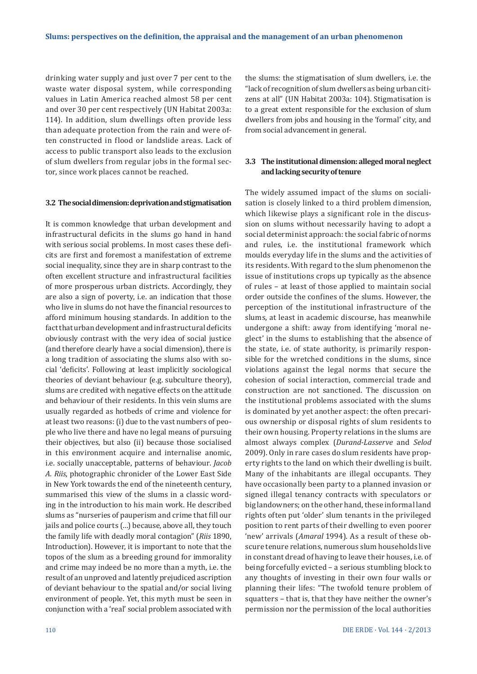drinking water supply and just over 7 per cent to the waste water disposal system, while corresponding values in Latin America reached almost 58 per cent and over 30 per cent respectively (UN Habitat 2003a: 114). In addition, slum dwellings often provide less than adequate protection from the rain and were often constructed in flood or landslide areas. Lack of access to public transport also leads to the exclusion of slum dwellers from regular jobs in the formal sector, since work places cannot be reached.

#### **3.2 The social dimension: deprivation and stigmatisation**

It is common knowledge that urban development and infrastructural deficits in the slums go hand in hand with serious social problems. In most cases these deficits are first and foremost a manifestation of extreme social inequality, since they are in sharp contrast to the often excellent structure and infrastructural facilities of more prosperous urban districts. Accordingly, they are also a sign of poverty, i.e. an indication that those who live in slums do not have the financial resources to afford minimum housing standards. In addition to the fact that urban development and infrastructural deficits obviously contrast with the very idea of social justice (and therefore clearly have a social dimension), there is a long tradition of associating the slums also with social 'deficits'. Following at least implicitly sociological theories of deviant behaviour (e.g. subculture theory), slums are credited with negative effects on the attitude and behaviour of their residents. In this vein slums are usually regarded as hotbeds of crime and violence for at least two reasons: (i) due to the vast numbers of people who live there and have no legal means of pursuing their objectives, but also (ii) because those socialised in this environment acquire and internalise anomic, i.e. socially unacceptable, patterns of behaviour. *Jacob A. Riis*, photographic chronicler of the Lower East Side in New York towards the end of the nineteenth century, summarised this view of the slums in a classic wording in the introduction to his main work. He described slums as "nurseries of pauperism and crime that fill our jails and police courts (…) because, above all, they touch the family life with deadly moral contagion" (*Riis* 1890, Introduction). However, it is important to note that the topos of the slum as a breeding ground for immorality and crime may indeed be no more than a myth, i.e. the result of an unproved and latently prejudiced ascription of deviant behaviour to the spatial and/or social living environment of people. Yet, this myth must be seen in conjunction with a 'real' social problem associated with the slums: the stigmatisation of slum dwellers, i.e. the "lack of recognition of slum dwellers as being urban citizens at all" (UN Habitat 2003a: 104). Stigmatisation is to a great extent responsible for the exclusion of slum dwellers from jobs and housing in the 'formal' city, and from social advancement in general.

# **3.3 The institutional dimension: alleged moral neglect and lacking security of tenure**

The widely assumed impact of the slums on socialisation is closely linked to a third problem dimension, which likewise plays a significant role in the discussion on slums without necessarily having to adopt a social determinist approach: the social fabric of norms and rules, i.e. the institutional framework which moulds everyday life in the slums and the activities of its residents. With regard to the slum phenomenon the issue of institutions crops up typically as the absence of rules – at least of those applied to maintain social order outside the confines of the slums. However, the perception of the institutional infrastructure of the slums, at least in academic discourse, has meanwhile undergone a shift: away from identifying 'moral neglect' in the slums to establishing that the absence of the state, i.e. of state authority, is primarily responsible for the wretched conditions in the slums, since violations against the legal norms that secure the cohesion of social interaction, commercial trade and construction are not sanctioned. The discussion on the institutional problems associated with the slums is dominated by yet another aspect: the often precarious ownership or disposal rights of slum residents to their own housing. Property relations in the slums are almost always complex (*Durand-Lasserve* and *Selod* 2009). Only in rare cases do slum residents have property rights to the land on which their dwelling is built. Many of the inhabitants are illegal occupants. They have occasionally been party to a planned invasion or signed illegal tenancy contracts with speculators or big landowners; on the other hand, these informal land rights often put 'older' slum tenants in the privileged position to rent parts of their dwelling to even poorer 'new' arrivals (*Amaral* 1994). As a result of these obscure tenure relations, numerous slum households live in constant dread of having to leave their houses, i.e. of being forcefully evicted – a serious stumbling block to any thoughts of investing in their own four walls or planning their lifes: "The twofold tenure problem of squatters – that is, that they have neither the owner's permission nor the permission of the local authorities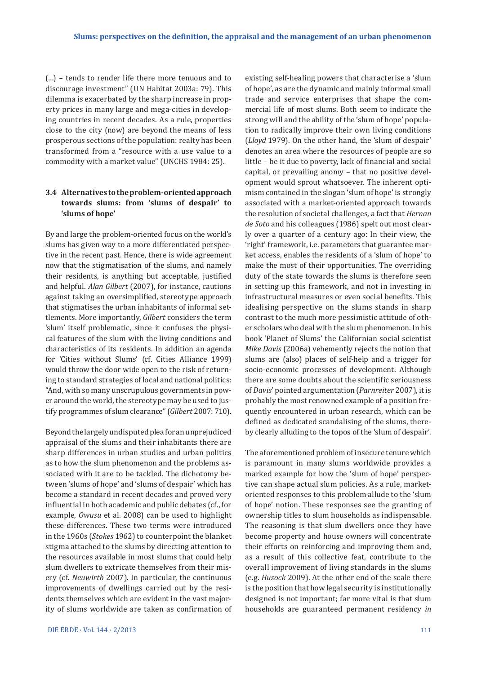(…) – tends to render life there more tenuous and to discourage investment" (UN Habitat 2003a: 79). This dilemma is exacerbated by the sharp increase in property prices in many large and mega-cities in developing countries in recent decades. As a rule, properties close to the city (now) are beyond the means of less prosperous sections of the population: realty has been transformed from a "resource with a use value to a commodity with a market value" (UNCHS 1984: 25).

# **3.4 Alternatives to the problem-oriented approach towards slums: from 'slums of despair' to 'slums of hope'**

By and large the problem-oriented focus on the world's slums has given way to a more differentiated perspective in the recent past. Hence, there is wide agreement now that the stigmatisation of the slums, and namely their residents, is anything but acceptable, justified and helpful. *Alan Gilbert* (2007), for instance, cautions against taking an oversimplified, stereotype approach that stigmatises the urban inhabitants of informal settlements. More importantly, *Gilbert* considers the term 'slum' itself problematic, since it confuses the physical features of the slum with the living conditions and characteristics of its residents. In addition an agenda for 'Cities without Slums' (cf. Cities Alliance 1999) would throw the door wide open to the risk of returning to standard strategies of local and national politics: "And, with so many unscrupulous governments in power around the world, the stereotype may be used to justify programmes of slum clearance" (*Gilbert* 2007: 710).

Beyond the largely undisputed plea for an unprejudiced appraisal of the slums and their inhabitants there are sharp differences in urban studies and urban politics as to how the slum phenomenon and the problems associated with it are to be tackled. The dichotomy between 'slums of hope' and 'slums of despair' which has become a standard in recent decades and proved very influential in both academic and public debates (cf., for example, *Owusu* et al. 2008) can be used to highlight these differences. These two terms were introduced in the 1960s (*Stokes* 1962) to counterpoint the blanket stigma attached to the slums by directing attention to the resources available in most slums that could help slum dwellers to extricate themselves from their misery (cf. *Neuwirth* 2007). In particular, the continuous improvements of dwellings carried out by the residents themselves which are evident in the vast majority of slums worldwide are taken as confirmation of existing self-healing powers that characterise a 'slum of hope', as are the dynamic and mainly informal small trade and service enterprises that shape the commercial life of most slums. Both seem to indicate the strong will and the ability of the 'slum of hope' population to radically improve their own living conditions (*Lloyd* 1979). On the other hand, the 'slum of despair' denotes an area where the resources of people are so little – be it due to poverty, lack of financial and social capital, or prevailing anomy – that no positive development would sprout whatsoever. The inherent optimism contained in the slogan 'slum of hope' is strongly associated with a market-oriented approach towards the resolution of societal challenges, a fact that *Hernan de Soto* and his colleagues (1986) spelt out most clearly over a quarter of a century ago: In their view, the 'right' framework, i.e. parameters that guarantee market access, enables the residents of a 'slum of hope' to make the most of their opportunities. The overriding duty of the state towards the slums is therefore seen in setting up this framework, and not in investing in infrastructural measures or even social benefits. This idealising perspective on the slums stands in sharp contrast to the much more pessimistic attitude of other scholars who deal with the slum phenomenon. In his book 'Planet of Slums' the Californian social scientist *Mike Davis* (2006a) vehemently rejects the notion that slums are (also) places of self-help and a trigger for socio-economic processes of development. Although there are some doubts about the scientific seriousness of *Davis*' pointed argumentation (*Parnreiter* 2007), it is probably the most renowned example of a position frequently encountered in urban research, which can be defined as dedicated scandalising of the slums, thereby clearly alluding to the topos of the 'slum of despair'.

The aforementioned problem of insecure tenure which is paramount in many slums worldwide provides a marked example for how the 'slum of hope' perspective can shape actual slum policies. As a rule, marketoriented responses to this problem allude to the 'slum of hope' notion. These responses see the granting of ownership titles to slum households as indispensable. The reasoning is that slum dwellers once they have become property and house owners will concentrate their efforts on reinforcing and improving them and, as a result of this collective feat, contribute to the overall improvement of living standards in the slums (e.g. *Husock* 2009). At the other end of the scale there is the position that how legal security is institutionally designed is not important; far more vital is that slum households are guaranteed permanent residency *in*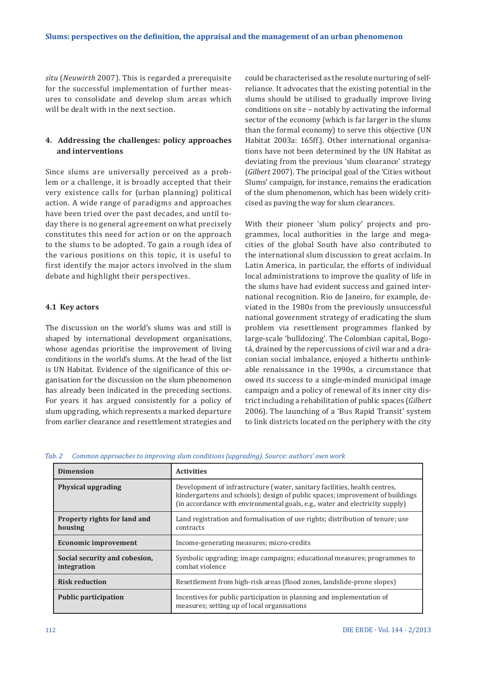*situ* (*Neuwirth* 2007). This is regarded a prerequisite for the successful implementation of further measures to consolidate and develop slum areas which will be dealt with in the next section.

## **4. Addressing the challenges: policy approaches and interventions**

Since slums are universally perceived as a problem or a challenge, it is broadly accepted that their very existence calls for (urban planning) political action. A wide range of paradigms and approaches have been tried over the past decades, and until today there is no general agreement on what precisely constitutes this need for action or on the approach to the slums to be adopted. To gain a rough idea of the various positions on this topic, it is useful to first identify the major actors involved in the slum debate and highlight their perspectives.

## **4.1 Key actors**

The discussion on the world's slums was and still is shaped by international development organisations, whose agendas prioritise the improvement of living conditions in the world's slums. At the head of the list is UN Habitat. Evidence of the significance of this organisation for the discussion on the slum phenomenon has already been indicated in the preceding sections. For years it has argued consistently for a policy of slum upgrading, which represents a marked departure from earlier clearance and resettlement strategies and

could be characterised as the resolute nurturing of self-reliance. It advocates that the existing potential in the slums should be utilised to gradually improve living conditions on site – notably by activating the informal sector of the economy (which is far larger in the slums than the formal economy) to serve this objective (UN Habitat 2003a: 165ff.). Other international organisations have not been determined by the UN Habitat as deviating from the previous 'slum clearance' strategy (*Gilbert* 2007). The principal goal of the 'Cities without Slums' campaign, for instance, remains the eradication of the slum phenomenon, which has been widely criticised as paving the way for slum clearances.

With their pioneer 'slum policy' projects and programmes, local authorities in the large and megacities of the global South have also contributed to the international slum discussion to great acclaim. In Latin America, in particular, the efforts of individual local administrations to improve the quality of life in the slums have had evident success and gained international recognition. Rio de Janeiro, for example, deviated in the 1980s from the previously unsuccessful national government strategy of eradicating the slum problem via resettlement programmes flanked by large-scale 'bulldozing'. The Colombian capital, Bogotá, drained by the repercussions of civil war and a draconian social imbalance, enjoyed a hitherto unthinkable renaissance in the 1990s, a circumstance that owed its success to a single-minded municipal image campaign and a policy of renewal of its inner city district including a rehabilitation of public spaces (*Gilbert* 2006). The launching of a 'Bus Rapid Transit' system to link districts located on the periphery with the city

|  | Tab. 2 Common approaches to improving slum conditions (upgrading). Source: authors' own work |  |  |  |
|--|----------------------------------------------------------------------------------------------|--|--|--|
|  |                                                                                              |  |  |  |

| <b>Dimension</b>                               | <b>Activities</b>                                                                                                                                                                                                                           |
|------------------------------------------------|---------------------------------------------------------------------------------------------------------------------------------------------------------------------------------------------------------------------------------------------|
| <b>Physical upgrading</b>                      | Development of infrastructure (water, sanitary facilities, health centres,<br>kindergartens and schools); design of public spaces; improvement of buildings<br>(in accordance with environmental goals, e.g., water and electricity supply) |
| <b>Property rights for land and</b><br>housing | Land registration and formalisation of use rights; distribution of tenure; use<br>contracts                                                                                                                                                 |
| <b>Economic improvement</b>                    | Income-generating measures; micro-credits                                                                                                                                                                                                   |
| Social security and cohesion,<br>integration   | Symbolic upgrading; image campaigns; educational measures; programmes to<br>combat violence                                                                                                                                                 |
| <b>Risk reduction</b>                          | Resettlement from high-risk areas (flood zones, landslide-prone slopes)                                                                                                                                                                     |
| <b>Public participation</b>                    | Incentives for public participation in planning and implementation of<br>measures; setting up of local organisations                                                                                                                        |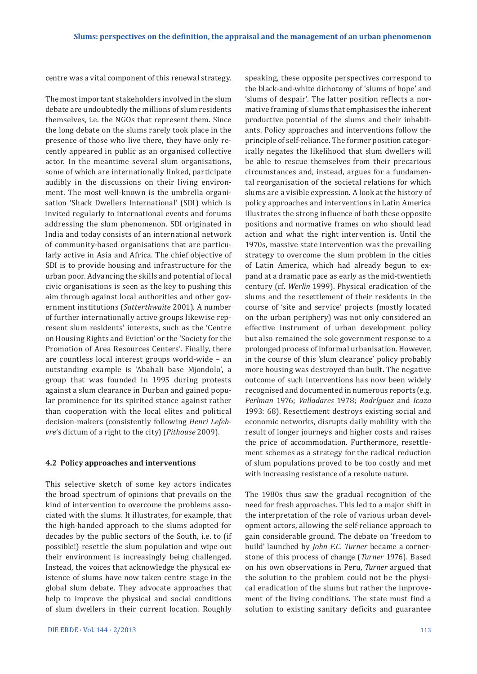centre was a vital component of this renewal strategy.

The most important stakeholders involved in the slum debate are undoubtedly the millions of slum residents themselves, i.e. the NGOs that represent them. Since the long debate on the slums rarely took place in the presence of those who live there, they have only recently appeared in public as an organised collective actor. In the meantime several slum organisations, some of which are internationally linked, participate audibly in the discussions on their living environment. The most well-known is the umbrella organisation 'Shack Dwellers International' (SDI) which is invited regularly to international events and forums addressing the slum phenomenon. SDI originated in India and today consists of an international network of community-based organisations that are particularly active in Asia and Africa. The chief objective of SDI is to provide housing and infrastructure for the urban poor. Advancing the skills and potential of local civic organisations is seen as the key to pushing this aim through against local authorities and other government institutions (*Satterthwaite* 2001). A number of further internationally active groups likewise represent slum residents' interests, such as the 'Centre on Housing Rights and Eviction' or the 'Society for the Promotion of Area Resources Centers'. Finally, there are countless local interest groups world-wide – an outstanding example is 'Abahali base Mjondolo', a group that was founded in 1995 during protests against a slum clearance in Durban and gained popular prominence for its spirited stance against rather than cooperation with the local elites and political decision-makers (consistently following *Henri Lefebvre*'s dictum of a right to the city) (*Pithouse* 2009).

#### **4.2 Policy approaches and interventions**

This selective sketch of some key actors indicates the broad spectrum of opinions that prevails on the kind of intervention to overcome the problems associated with the slums. It illustrates, for example, that the high-handed approach to the slums adopted for decades by the public sectors of the South, i.e. to (if possible!) resettle the slum population and wipe out their environment is increasingly being challenged. Instead, the voices that acknowledge the physical existence of slums have now taken centre stage in the global slum debate. They advocate approaches that help to improve the physical and social conditions of slum dwellers in their current location. Roughly speaking, these opposite perspectives correspond to the black-and-white dichotomy of 'slums of hope' and 'slums of despair'. The latter position reflects a normative framing of slums that emphasises the inherent productive potential of the slums and their inhabitants. Policy approaches and interventions follow the principle of self-reliance. The former position categorically negates the likelihood that slum dwellers will be able to rescue themselves from their precarious circumstances and, instead, argues for a fundamental reorganisation of the societal relations for which slums are a visible expression. A look at the history of policy approaches and interventions in Latin America illustrates the strong influence of both these opposite positions and normative frames on who should lead action and what the right intervention is. Until the 1970s, massive state intervention was the prevailing strategy to overcome the slum problem in the cities of Latin America, which had already begun to expand at a dramatic pace as early as the mid-twentieth century (cf. *Werlin* 1999). Physical eradication of the slums and the resettlement of their residents in the course of 'site and service' projects (mostly located on the urban periphery) was not only considered an effective instrument of urban development policy but also remained the sole government response to a prolonged process of informal urbanisation. However, in the course of this 'slum clearance' policy probably more housing was destroyed than built. The negative outcome of such interventions has now been widely recognised and documented in numerous reports (e.g. *Perlman* 1976; *Valladares* 1978; *Rodríguez* and *Icaza* 1993: 68). Resettlement destroys existing social and economic networks, disrupts daily mobility with the result of longer journeys and higher costs and raises the price of accommodation. Furthermore, resettlement schemes as a strategy for the radical reduction of slum populations proved to be too costly and met with increasing resistance of a resolute nature.

The 1980s thus saw the gradual recognition of the need for fresh approaches. This led to a major shift in the interpretation of the role of various urban development actors, allowing the self-reliance approach to gain considerable ground. The debate on 'freedom to build' launched by *John F.C. Turner* became a cornerstone of this process of change (*Turner* 1976). Based on his own observations in Peru, *Turner* argued that the solution to the problem could not be the physical eradication of the slums but rather the improvement of the living conditions. The state must find a solution to existing sanitary deficits and guarantee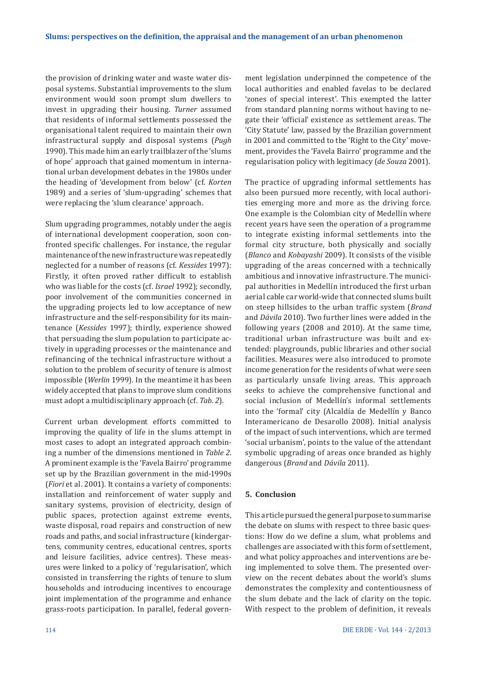the provision of drinking water and waste water disposal systems. Substantial improvements to the slum environment would soon prompt slum dwellers to invest in upgrading their housing. *Turner* assumed that residents of informal settlements possessed the organisational talent required to maintain their own infrastructural supply and disposal systems (*Pugh*  1990). This made him an early trailblazer of the 'slums of hope' approach that gained momentum in international urban development debates in the 1980s under the heading of 'development from below' (cf. *Korten*  1989) and a series of 'slum-upgrading' schemes that were replacing the 'slum clearance' approach.

Slum upgrading programmes, notably under the aegis of international development cooperation, soon confronted specific challenges. For instance, the regular maintenance of the new infrastructure was repeatedly neglected for a number of reasons (cf. *Kessides* 1997): Firstly, it often proved rather difficult to establish who was liable for the costs (cf. *Israel* 1992); secondly, poor involvement of the communities concerned in the upgrading projects led to low acceptance of new infrastructure and the self-responsibility for its maintenance (*Kessides* 1997); thirdly, experience showed that persuading the slum population to participate actively in upgrading processes or the maintenance and refinancing of the technical infrastructure without a solution to the problem of security of tenure is almost impossible (*Werlin* 1999). In the meantime it has been widely accepted that plans to improve slum conditions must adopt a multidisciplinary approach (cf. *Tab. 2*).

Current urban development efforts committed to improving the quality of life in the slums attempt in most cases to adopt an integrated approach combining a number of the dimensions mentioned in *Table 2*. A prominent example is the 'Favela Bairro' programme set up by the Brazilian government in the mid-1990s (*Fiori* et al. 2001). It contains a variety of components: installation and reinforcement of water supply and sanitary systems, provision of electricity, design of public spaces, protection against extreme events, waste disposal, road repairs and construction of new roads and paths, and social infrastructure (kindergartens, community centres, educational centres, sports and leisure facilities, advice centres). These measures were linked to a policy of 'regularisation', which consisted in transferring the rights of tenure to slum households and introducing incentives to encourage joint implementation of the programme and enhance grass-roots participation. In parallel, federal govern-

ment legislation underpinned the competence of the local authorities and enabled favelas to be declared 'zones of special interest'. This exempted the latter from standard planning norms without having to negate their 'official' existence as settlement areas. The 'City Statute' law, passed by the Brazilian government in 2001 and committed to the 'Right to the City' movement, provides the 'Favela Bairro' programme and the regularisation policy with legitimacy (*de Souza* 2001).

The practice of upgrading informal settlements has also been pursued more recently, with local authorities emerging more and more as the driving force. One example is the Colombian city of Medellín where recent years have seen the operation of a programme to integrate existing informal settlements into the formal city structure, both physically and socially (*Blanco* and *Kobayashi* 2009). It consists of the visible upgrading of the areas concerned with a technically ambitious and innovative infrastructure. The municipal authorities in Medellín introduced the first urban aerial cable car world-wide that connected slums built on steep hillsides to the urban traffic system (*Brand* and *Dávila* 2010). Two further lines were added in the following years (2008 and 2010). At the same time, traditional urban infrastructure was built and extended: playgrounds, public libraries and other social facilities. Measures were also introduced to promote income generation for the residents of what were seen as particularly unsafe living areas. This approach seeks to achieve the comprehensive functional and social inclusion of Medellín's informal settlements into the 'formal' city (Alcaldía de Medellín y Banco Interamericano de Desarollo 2008). Initial analysis of the impact of such interventions, which are termed 'social urbanism', points to the value of the attendant symbolic upgrading of areas once branded as highly dangerous (*Brand* and *Dávila* 2011).

#### **5. Conclusion**

This article pursued the general purpose to summarise the debate on slums with respect to three basic questions: How do we define a slum, what problems and challenges are associated with this form of settlement, and what policy approaches and interventions are being implemented to solve them. The presented overview on the recent debates about the world's slums demonstrates the complexity and contentiousness of the slum debate and the lack of clarity on the topic. With respect to the problem of definition, it reveals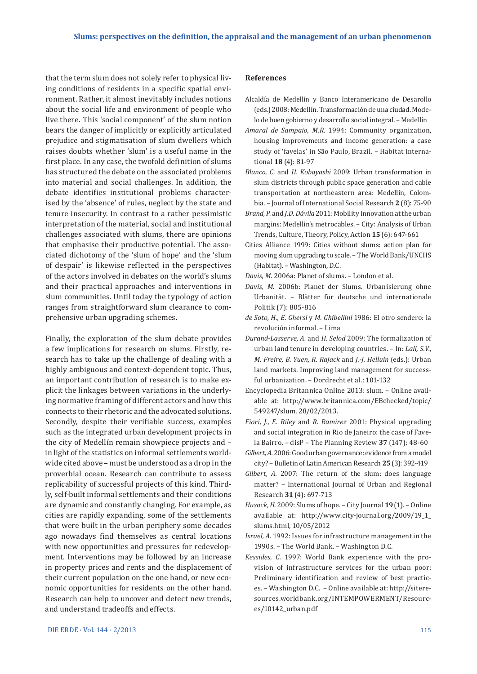that the term slum does not solely refer to physical living conditions of residents in a specific spatial environment. Rather, it almost inevitably includes notions about the social life and environment of people who live there. This 'social component' of the slum notion bears the danger of implicitly or explicitly articulated prejudice and stigmatisation of slum dwellers which raises doubts whether 'slum' is a useful name in the first place. In any case, the twofold definition of slums has structured the debate on the associated problems into material and social challenges. In addition, the debate identifies institutional problems characterised by the 'absence' of rules, neglect by the state and tenure insecurity. In contrast to a rather pessimistic interpretation of the material, social and institutional challenges associated with slums, there are opinions that emphasise their productive potential. The associated dichotomy of the 'slum of hope' and the 'slum of despair' is likewise reflected in the perspectives of the actors involved in debates on the world's slums and their practical approaches and interventions in slum communities. Until today the typology of action ranges from straightforward slum clearance to comprehensive urban upgrading schemes.

Finally, the exploration of the slum debate provides a few implications for research on slums. Firstly, research has to take up the challenge of dealing with a highly ambiguous and context-dependent topic. Thus, an important contribution of research is to make explicit the linkages between variations in the underlying normative framing of different actors and how this connects to their rhetoric and the advocated solutions. Secondly, despite their verifiable success, examples such as the integrated urban development projects in the city of Medellín remain showpiece projects and – in light of the statistics on informal settlements worldwide cited above – must be understood as a drop in the proverbial ocean. Research can contribute to assess replicability of successful projects of this kind. Thirdly, self-built informal settlements and their conditions are dynamic and constantly changing. For example, as cities are rapidly expanding, some of the settlements that were built in the urban periphery some decades ago nowadays find themselves as central locations with new opportunities and pressures for redevelopment. Interventions may be followed by an increase in property prices and rents and the displacement of their current population on the one hand, or new economic opportunities for residents on the other hand. Research can help to uncover and detect new trends, and understand tradeoffs and effects.

#### **References**

- Alcaldía de Medellín y Banco Interamericano de Desarollo (eds.) 2008: Medellín. Transformación de una ciudad. Modelo de buen gobierno y desarrollo social integral. – Medellín
- *Amaral de Sampaio, M.R*. 1994: Community organization, housing improvements and income generation: a case study of 'favelas' in São Paulo, Brazil. – Habitat International **18** (4): 81-97
- *Blanco, C.* and *H. Kobayashi* 2009: Urban transformation in slum districts through public space generation and cable transportation at northeastern area: Medellín, Colombia. – Journal of International Social Research **2** (8): 75-90
- *Brand, P.* and *J.D. Dávila* 2011: Mobility innovation at the urban margins: Medellín's metrocables. – City: Analysis of Urban Trends, Culture, Theory, Policy, Action **15** (6): 647-661
- Cities Alliance 1999: Cities without slums: action plan for moving slum upgrading to scale. – The World Bank/UNCHS (Habitat). – Washington, D.C.
- *Davis, M.* 2006a: Planet of slums. London et al.
- *Davis, M.* 2006b: Planet der Slums. Urbanisierung ohne Urbanität. – Blätter für deutsche und internationale Politik (7): 805-816
- *de Soto, H., E. Ghersi* y *M. Ghibellini* 1986: El otro sendero: la revolución informal. – Lima
- *Durand-Lasserve, A.* and *H. Selod* 2009: The formalization of urban land tenure in developing countries. – In: *Lall, S.V.*, *M. Freire, B*. *Yuen, R. Rajack* and *J.-J. Helluin* (eds.): Urban land markets. Improving land management for successful urbanization. – Dordrecht et al.: 101-132
- Encyclopedia Britannica Online 2013: slum. Online available at: http://www.britannica.com/EBchecked/topic/ 549247/slum, 28/02/2013.
- *Fiori, J., E. Riley* and *R. Ramirez* 2001: Physical upgrading and social integration in Rio de Janeiro: the case of Favela Bairro. – disP – The Planning Review **37** (147): 48-60
- *Gilbert, A.* 2006: Good urban governance: evidence from a model city? – Bulletin of Latin American Research **25** (3): 392-419
- *Gilbert, A.* 2007: The return of the slum: does language matter? – International Journal of Urban and Regional Research **31** (4): 697-713
- *Husock, H*. 2009: Slums of hope. City Journal **19** (1). Online available at: http://www.city-journal.org/2009/19\_1\_ slums.html, 10/05/2012
- *Israel, A.* 1992: Issues for infrastructure management in the 1990s. – The World Bank. – Washington D.C.
- *Kessides, C.* 1997: World Bank experience with the provision of infrastructure services for the urban poor: Preliminary identification and review of best practices. – Washington D.C. – Online available at: http://siteresources.worldbank.org/INTEMPOWERMENT/Resources/10142\_urban.pdf